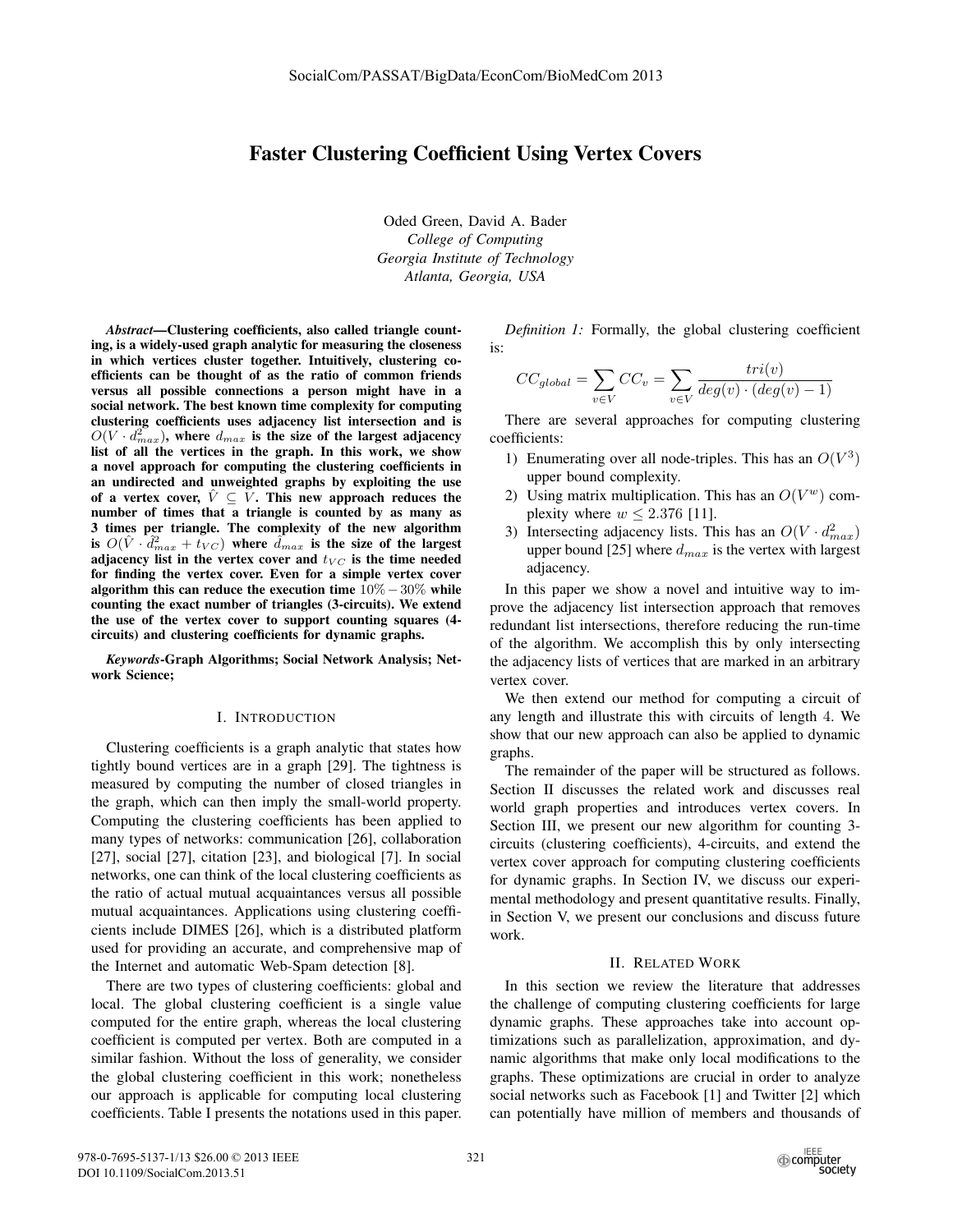# Faster Clustering Coefficient Using Vertex Covers

Oded Green, David A. Bader *College of Computing Georgia Institute of Technology Atlanta, Georgia, USA*

*Abstract*—Clustering coefficients, also called triangle counting, is a widely-used graph analytic for measuring the closeness in which vertices cluster together. Intuitively, clustering coefficients can be thought of as the ratio of common friends versus all possible connections a person might have in a social network. The best known time complexity for computing clustering coefficients uses adjacency list intersection and is  $O(V \cdot d_{max}^2)$ , where  $d_{max}$  is the size of the largest adjacency list of all the vertices in the graph. In this work, we show a novel approach for computing the clustering coefficients in an undirected and unweighted graphs by exploiting the use of a vertex cover,  $\hat{V} \subseteq V$ . This new approach reduces the number of times that a triangle is counted by as many as 3 times per triangle. The complexity of the new algorithm is  $O(\hat{V} \cdot \hat{d}_{max}^2 + t_{VC})$  where  $\hat{d}_{max}$  is the size of the largest<br>adjacency list in the vertex cover and  $t_{test}$  is the time needed adjacency list in the vertex cover and  $t_{VC}$  is the time needed for finding the vertex cover. Even for a simple vertex cover algorithm this can reduce the execution time 10%−30% while counting the exact number of triangles (3-circuits). We extend the use of the vertex cover to support counting squares (4 circuits) and clustering coefficients for dynamic graphs.

*Keywords*-Graph Algorithms; Social Network Analysis; Network Science;

#### I. INTRODUCTION

Clustering coefficients is a graph analytic that states how tightly bound vertices are in a graph [29]. The tightness is measured by computing the number of closed triangles in the graph, which can then imply the small-world property. Computing the clustering coefficients has been applied to many types of networks: communication [26], collaboration [27], social [27], citation [23], and biological [7]. In social networks, one can think of the local clustering coefficients as the ratio of actual mutual acquaintances versus all possible mutual acquaintances. Applications using clustering coefficients include DIMES [26], which is a distributed platform used for providing an accurate, and comprehensive map of the Internet and automatic Web-Spam detection [8].

There are two types of clustering coefficients: global and local. The global clustering coefficient is a single value computed for the entire graph, whereas the local clustering coefficient is computed per vertex. Both are computed in a similar fashion. Without the loss of generality, we consider the global clustering coefficient in this work; nonetheless our approach is applicable for computing local clustering coefficients. Table I presents the notations used in this paper.

*Definition 1:* Formally, the global clustering coefficient is:

$$
CC_{global} = \sum_{v \in V} CC_v = \sum_{v \in V} \frac{tri(v)}{deg(v) \cdot (deg(v) - 1)}
$$

There are several approaches for computing clustering coefficients:

- 1) Enumerating over all node-triples. This has an  $O(V^3)$ upper bound complexity.
- 2) Using matrix multiplication. This has an  $O(V^w)$  complexity where  $w \le 2.376$  [11].
- 3) Intersecting adjacency lists. This has an  $O(V \cdot d_{max}^2)$ <br>upper bound [25] where  $d_{max}$  is the vertex with largest upper bound [25] where <sup>d</sup>*max* is the vertex with largest adjacency.

In this paper we show a novel and intuitive way to improve the adjacency list intersection approach that removes redundant list intersections, therefore reducing the run-time of the algorithm. We accomplish this by only intersecting the adjacency lists of vertices that are marked in an arbitrary vertex cover.

We then extend our method for computing a circuit of any length and illustrate this with circuits of length 4. We show that our new approach can also be applied to dynamic graphs.

The remainder of the paper will be structured as follows. Section II discusses the related work and discusses real world graph properties and introduces vertex covers. In Section III, we present our new algorithm for counting 3 circuits (clustering coefficients), 4-circuits, and extend the vertex cover approach for computing clustering coefficients for dynamic graphs. In Section IV, we discuss our experimental methodology and present quantitative results. Finally, in Section V, we present our conclusions and discuss future work.

#### II. RELATED WORK

In this section we review the literature that addresses the challenge of computing clustering coefficients for large dynamic graphs. These approaches take into account optimizations such as parallelization, approximation, and dynamic algorithms that make only local modifications to the graphs. These optimizations are crucial in order to analyze social networks such as Facebook [1] and Twitter [2] which can potentially have million of members and thousands of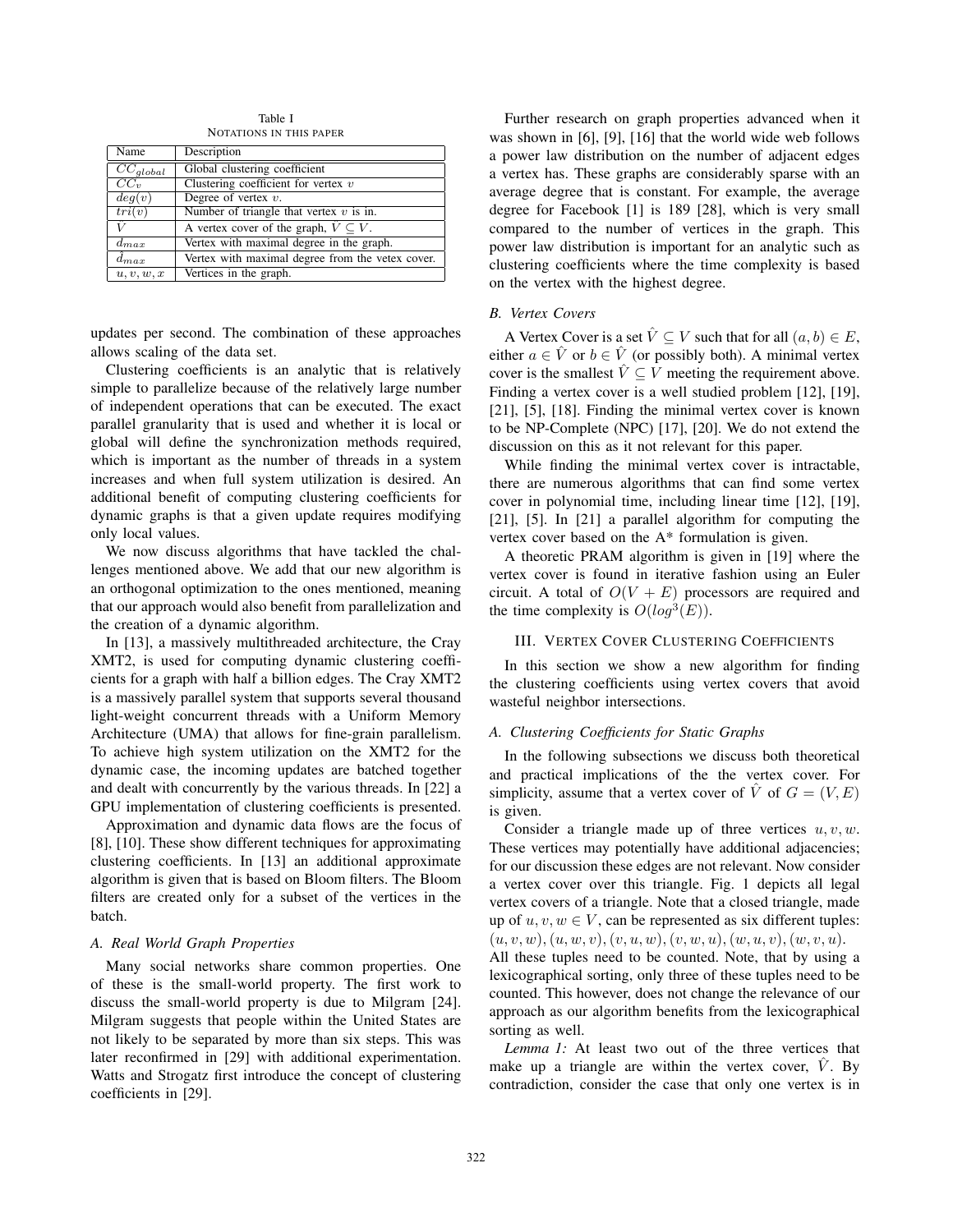Table I NOTATIONS IN THIS PAPER

| Name            | Description                                          |
|-----------------|------------------------------------------------------|
|                 |                                                      |
| $CC_{global}$   | Global clustering coefficient                        |
| $CC_v$          | Clustering coefficient for vertex $v$                |
| deg(v)          | Degree of vertex $v$ .                               |
| tri(v)          | Number of triangle that vertex $v$ is in.            |
| û               | A vertex cover of the graph, $\hat{V} \subseteq V$ . |
| $d_{max}$       | Vertex with maximal degree in the graph.             |
| $\hat{d}_{max}$ | Vertex with maximal degree from the vetex cover.     |
| u, v, w, x      | Vertices in the graph.                               |

updates per second. The combination of these approaches allows scaling of the data set.

Clustering coefficients is an analytic that is relatively simple to parallelize because of the relatively large number of independent operations that can be executed. The exact parallel granularity that is used and whether it is local or global will define the synchronization methods required, which is important as the number of threads in a system increases and when full system utilization is desired. An additional benefit of computing clustering coefficients for dynamic graphs is that a given update requires modifying only local values.

We now discuss algorithms that have tackled the challenges mentioned above. We add that our new algorithm is an orthogonal optimization to the ones mentioned, meaning that our approach would also benefit from parallelization and the creation of a dynamic algorithm.

In [13], a massively multithreaded architecture, the Cray XMT2, is used for computing dynamic clustering coefficients for a graph with half a billion edges. The Cray XMT2 is a massively parallel system that supports several thousand light-weight concurrent threads with a Uniform Memory Architecture (UMA) that allows for fine-grain parallelism. To achieve high system utilization on the XMT2 for the dynamic case, the incoming updates are batched together and dealt with concurrently by the various threads. In [22] a GPU implementation of clustering coefficients is presented.

Approximation and dynamic data flows are the focus of [8], [10]. These show different techniques for approximating clustering coefficients. In [13] an additional approximate algorithm is given that is based on Bloom filters. The Bloom filters are created only for a subset of the vertices in the batch.

## *A. Real World Graph Properties*

Many social networks share common properties. One of these is the small-world property. The first work to discuss the small-world property is due to Milgram [24]. Milgram suggests that people within the United States are not likely to be separated by more than six steps. This was later reconfirmed in [29] with additional experimentation. Watts and Strogatz first introduce the concept of clustering coefficients in [29].

Further research on graph properties advanced when it was shown in [6], [9], [16] that the world wide web follows a power law distribution on the number of adjacent edges a vertex has. These graphs are considerably sparse with an average degree that is constant. For example, the average degree for Facebook [1] is 189 [28], which is very small compared to the number of vertices in the graph. This power law distribution is important for an analytic such as clustering coefficients where the time complexity is based on the vertex with the highest degree.

# *B. Vertex Covers*

A Vertex Cover is a set  $\hat{V} \subseteq V$  such that for all  $(a, b) \in E$ , either  $a \in \hat{V}$  or  $b \in \hat{V}$  (or possibly both). A minimal vertex cover is the smallest  $\hat{V} \subseteq V$  meeting the requirement above. Finding a vertex cover is a well studied problem [12], [19], [21], [5], [18]. Finding the minimal vertex cover is known to be NP-Complete (NPC) [17], [20]. We do not extend the discussion on this as it not relevant for this paper.

While finding the minimal vertex cover is intractable, there are numerous algorithms that can find some vertex cover in polynomial time, including linear time [12], [19], [21], [5]. In [21] a parallel algorithm for computing the vertex cover based on the A\* formulation is given.

A theoretic PRAM algorithm is given in [19] where the vertex cover is found in iterative fashion using an Euler circuit. A total of  $O(V + E)$  processors are required and the time complexity is  $O(log^3(E))$ .

### III. VERTEX COVER CLUSTERING COEFFICIENTS

In this section we show a new algorithm for finding the clustering coefficients using vertex covers that avoid wasteful neighbor intersections.

#### *A. Clustering Coefficients for Static Graphs*

In the following subsections we discuss both theoretical and practical implications of the the vertex cover. For simplicity, assume that a vertex cover of  $\hat{V}$  of  $G = (V, E)$ is given.

Consider a triangle made up of three vertices  $u, v, w$ . These vertices may potentially have additional adjacencies; for our discussion these edges are not relevant. Now consider a vertex cover over this triangle. Fig. 1 depicts all legal vertex covers of a triangle. Note that a closed triangle, made up of  $u, v, w \in V$ , can be represented as six different tuples:  $(u, v, w), (u, w, v), (v, u, w), (v, w, u), (w, u, v), (w, v, u).$ All these tuples need to be counted. Note, that by using a lexicographical sorting, only three of these tuples need to be counted. This however, does not change the relevance of our approach as our algorithm benefits from the lexicographical

*Lemma 1:* At least two out of the three vertices that make up a triangle are within the vertex cover,  $V$ . By contradiction, consider the case that only one vertex is in

sorting as well.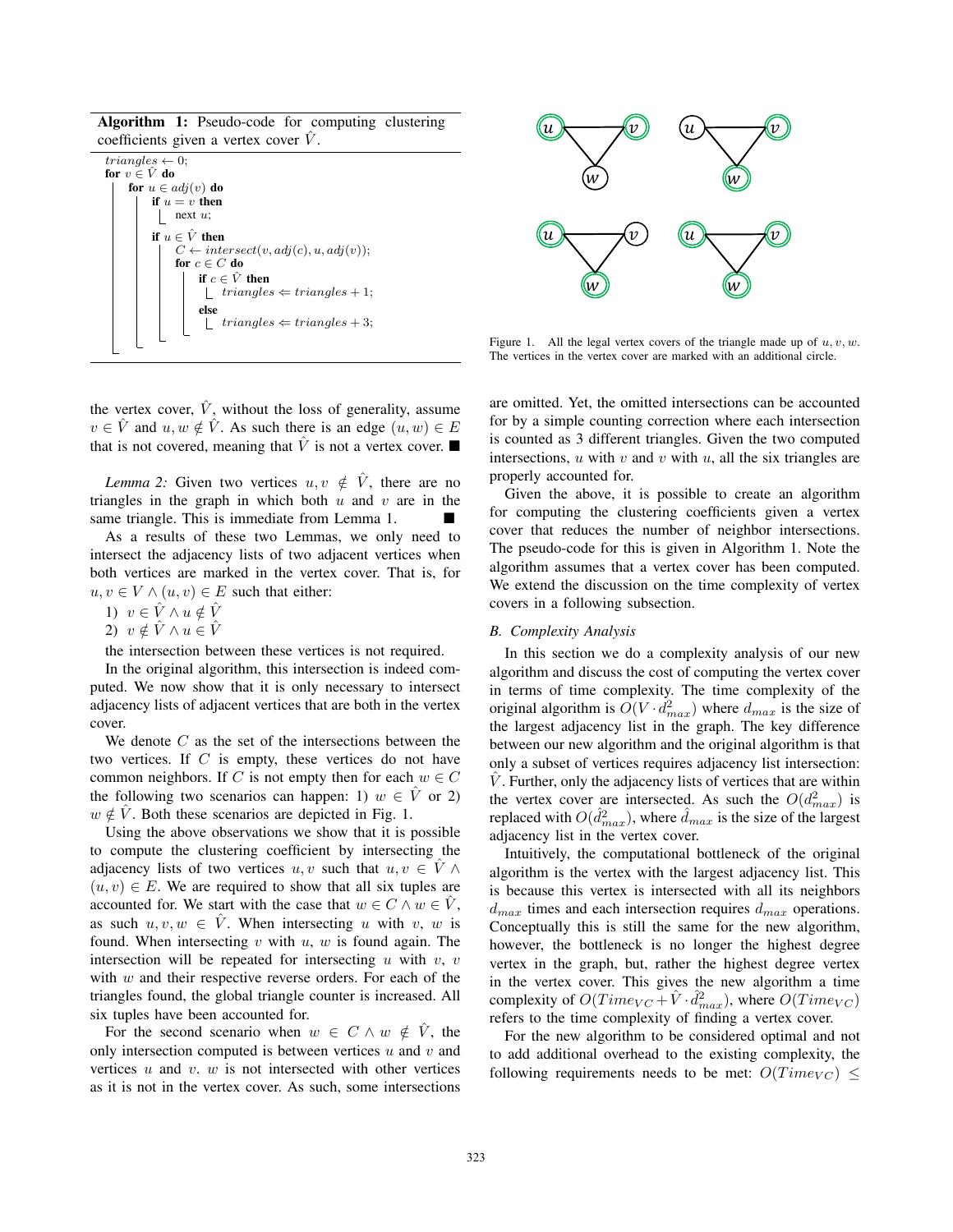Algorithm 1: Pseudo-code for computing clustering coefficients given a vertex cover  $\hat{V}$ .

| $triangles \leftarrow 0;$                       |  |  |  |  |
|-------------------------------------------------|--|--|--|--|
| for $v \in V$ do                                |  |  |  |  |
| for $u \in adj(v)$ do                           |  |  |  |  |
| if $u = v$ then                                 |  |  |  |  |
| next $u$ :                                      |  |  |  |  |
| if $u \in \hat{V}$ then                         |  |  |  |  |
| $C \leftarrow intersect(v, adj(c), u, adj(v));$ |  |  |  |  |
| for $c \in C$ do                                |  |  |  |  |
| if $c \in V$ then                               |  |  |  |  |
| $triangles \Leftarrow triangles + 1;$           |  |  |  |  |
| else                                            |  |  |  |  |
| $triangles \Leftarrow triangles + 3;$           |  |  |  |  |
|                                                 |  |  |  |  |
|                                                 |  |  |  |  |

 $\overset{\text{\normalsize{-}}}{u}$  $\widehat{u}$   $\longleftarrow$   $\widehat{u}$  $\stackrel\frown{w}$  $\widetilde{u}$  $\widehat{u}$   $\longleftarrow$   $\widehat{w}$  $\widehat{\widetilde{w}}$  $\overline{u}$  $\widehat{u}$   $\longrightarrow$   $\widehat{v}$  $\widehat{\widetilde{w}}$  $(u$  $\widehat{u}$   $\longleftarrow$  for  $\widehat{u}$  $\widehat{\widetilde{w}}$ 

Figure 1. All the legal vertex covers of the triangle made up of  $u, v, w$ . The vertices in the vertex cover are marked with an additional circle.

the vertex cover,  $\hat{V}$ , without the loss of generality, assume  $v \in \hat{V}$  and  $u, w \notin \hat{V}$ . As such there is an edge  $(u, w) \in E$ that is not covered, meaning that  $\hat{V}$  is not a vertex cover.

*Lemma 2:* Given two vertices  $u, v \notin \hat{V}$ , there are no triangles in the graph in which both  $u$  and  $v$  are in the same triangle. This is immediate from Lemma 1.

As a results of these two Lemmas, we only need to intersect the adjacency lists of two adjacent vertices when both vertices are marked in the vertex cover. That is, for  $u, v \in V \wedge (u, v) \in E$  such that either:

1)  $v \in \hat{V} \wedge u \notin \hat{V}$ 

2)  $v \notin \hat{V} \wedge u \in \hat{V}$ 

the intersection between these vertices is not required.

In the original algorithm, this intersection is indeed computed. We now show that it is only necessary to intersect adjacency lists of adjacent vertices that are both in the vertex cover.

We denote  $C$  as the set of the intersections between the two vertices. If C is empty, these vertices do not have common neighbors. If C is not empty then for each  $w \in C$ the following two scenarios can happen: 1)  $w \in \hat{V}$  or 2)  $w \notin \hat{V}$ . Both these scenarios are depicted in Fig. 1.

Using the above observations we show that it is possible to compute the clustering coefficient by intersecting the adjacency lists of two vertices  $u, v$  such that  $u, v \in V \wedge$  $(u, v) \in E$ . We are required to show that all six tuples are accounted for. We start with the case that  $w \in C \wedge w \in V$ , as such  $u, v, w \in V$ . When intersecting u with v, w is found. When intersecting  $v$  with  $u$ ,  $w$  is found again. The intersection will be repeated for intersecting  $u$  with  $v$ ,  $v$ with  $w$  and their respective reverse orders. For each of the triangles found, the global triangle counter is increased. All six tuples have been accounted for.

For the second scenario when  $w \in C \wedge w \notin \hat{V}$ , the only intersection computed is between vertices  $u$  and  $v$  and vertices  $u$  and  $v$ .  $w$  is not intersected with other vertices as it is not in the vertex cover. As such, some intersections are omitted. Yet, the omitted intersections can be accounted for by a simple counting correction where each intersection is counted as 3 different triangles. Given the two computed intersections,  $u$  with  $v$  and  $v$  with  $u$ , all the six triangles are properly accounted for.

Given the above, it is possible to create an algorithm for computing the clustering coefficients given a vertex cover that reduces the number of neighbor intersections. The pseudo-code for this is given in Algorithm 1. Note the algorithm assumes that a vertex cover has been computed. We extend the discussion on the time complexity of vertex covers in a following subsection.

#### *B. Complexity Analysis*

In this section we do a complexity analysis of our new algorithm and discuss the cost of computing the vertex cover in terms of time complexity. The time complexity of the original algorithm is  $O(V \cdot d_{max}^2)$  where  $d_{max}$  is the size of the largest adjacency list in the graph. The key difference the largest adjacency list in the graph. The key difference between our new algorithm and the original algorithm is that only a subset of vertices requires adjacency list intersection:  $\hat{V}$ . Further, only the adjacency lists of vertices that are within the vertex cover are intersected. As such the  $O(d_{max}^2)$  is<br>replaced with  $O(d^2)$  where  $\hat{d}$  is the size of the largest replaced with  $O(\hat{d}_{max}^2)$ , where  $\hat{d}_{max}$  is the size of the largest<br>adjacency list in the vertex cover adjacency list in the vertex cover.

Intuitively, the computational bottleneck of the original algorithm is the vertex with the largest adjacency list. This is because this vertex is intersected with all its neighbors  $d_{max}$  times and each intersection requires  $d_{max}$  operations. Conceptually this is still the same for the new algorithm, however, the bottleneck is no longer the highest degree vertex in the graph, but, rather the highest degree vertex in the vertex cover. This gives the new algorithm a time complexity of  $O(Time_{VC} + \hat{V} \cdot \hat{d}_{max}^2)$ , where  $O(Time_{VC})$ <br>refers to the time complexity of finding a vertex cover refers to the time complexity of finding a vertex cover.

For the new algorithm to be considered optimal and not to add additional overhead to the existing complexity, the following requirements needs to be met:  $O(Time_{VC}) \le$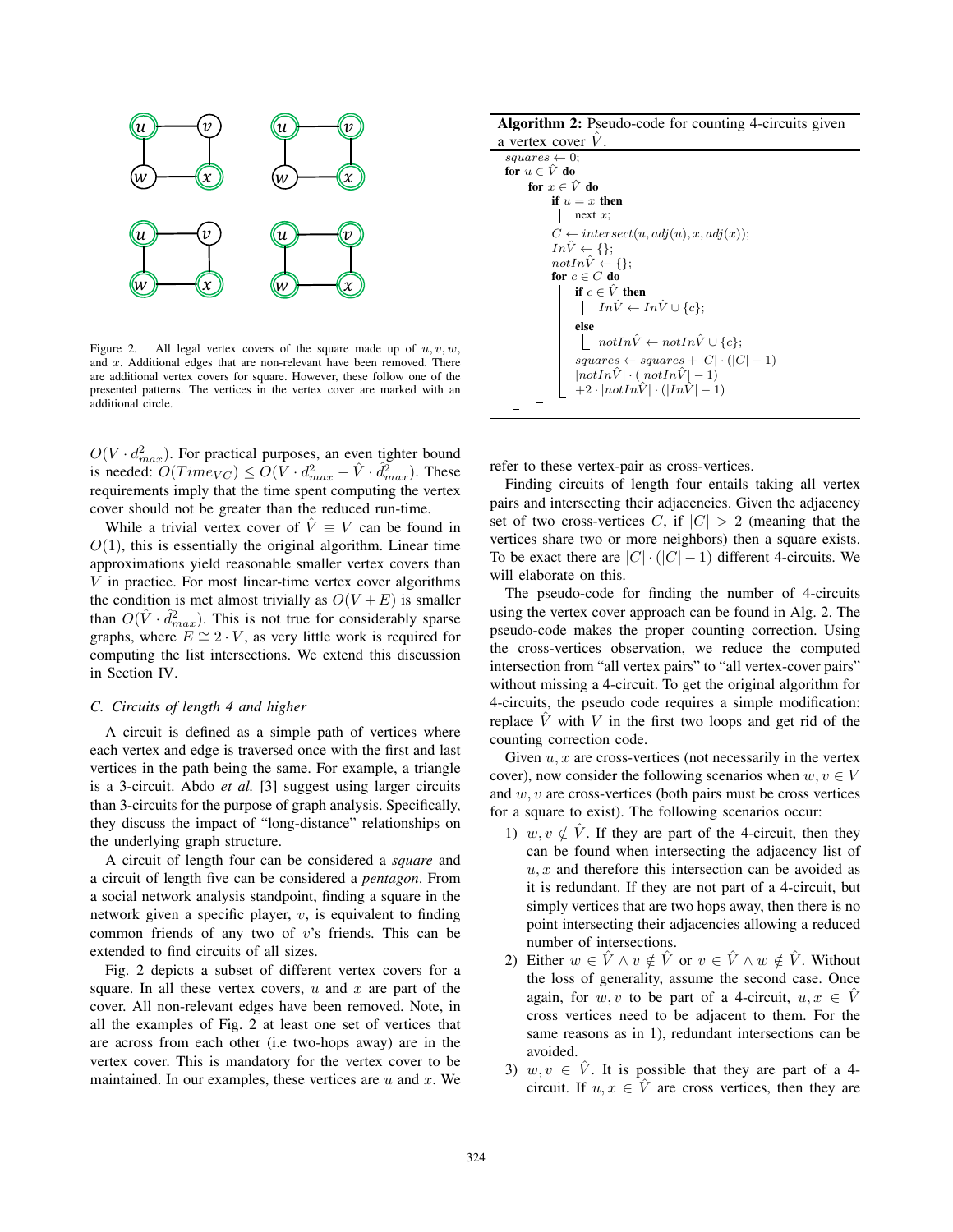

Figure 2. All legal vertex covers of the square made up of  $u, v, w$ , and x. Additional edges that are non-relevant have been removed. There are additional vertex covers for square. However, these follow one of the presented patterns. The vertices in the vertex cover are marked with an additional circle.

 $O(V \cdot d_{max}^2)$ . For practical purposes, an even tighter bound<br>is needed:  $O(Tima_{X,Y}) \leq O(V \cdot d^2) = \hat{V} \cdot d^2$ . is needed:  $O(Time_{VC}) \leq O(V \cdot d_{max}^2 - \hat{V} \cdot \hat{d}_{max}^2)$ . These requirements imply that the time spent computing the vertex cover should not be greater than the reduced run-time.

While a trivial vertex cover of  $\hat{V} \equiv V$  can be found in  $O(1)$ , this is essentially the original algorithm. Linear time approximations yield reasonable smaller vertex covers than V in practice. For most linear-time vertex cover algorithms the condition is met almost trivially as  $O(V + E)$  is smaller than  $O(\hat{V} \cdot \hat{d}_{max}^2)$ . This is not true for considerably sparse<br>graphs, where  $F \cong 2 \cdot V$  as very little work is required for graphs, where  $E \cong 2 \cdot V$ , as very little work is required for computing the list intersections. We extend this discussion in Section IV.

# *C. Circuits of length 4 and higher*

A circuit is defined as a simple path of vertices where each vertex and edge is traversed once with the first and last vertices in the path being the same. For example, a triangle is a 3-circuit. Abdo *et al.* [3] suggest using larger circuits than 3-circuits for the purpose of graph analysis. Specifically, they discuss the impact of "long-distance" relationships on the underlying graph structure.

A circuit of length four can be considered a *square* and a circuit of length five can be considered a *pentagon*. From a social network analysis standpoint, finding a square in the network given a specific player,  $v$ , is equivalent to finding common friends of any two of  $v$ 's friends. This can be extended to find circuits of all sizes.

Fig. 2 depicts a subset of different vertex covers for a square. In all these vertex covers,  $u$  and  $x$  are part of the cover. All non-relevant edges have been removed. Note, in all the examples of Fig. 2 at least one set of vertices that are across from each other (i.e two-hops away) are in the vertex cover. This is mandatory for the vertex cover to be maintained. In our examples, these vertices are  $u$  and  $x$ . We

Algorithm 2: Pseudo-code for counting 4-circuits given a vertex cover  $\hat{V}$ .

```
squares \leftarrow 0;for u \in \hat{V} do
for x \in \hat{V} do
       if u = x then
         \lfloor next x;
        C \leftarrow \text{intersect}(u, adj(u), x, adj(x));In \hat{V} \leftarrow \{\};notIn\hat{V} \leftarrow \{\};for c \in C do
               if c \in \hat{V} then
                \begin{array}{ccc} & In\hat{V} \leftarrow In\hat{V} \cup \{c\}; \end{array}else
                 \lbrack \quad notIn\hat{V} \leftarrow notIn\hat{V} \cup \{c\};squares \leftarrow squares + |C| \cdot (|C| - 1)|notIn\hat{V}| \cdot (|notIn\hat{V}|-1)+2\cdot |notIn\hat{V}| \cdot (|In\hat{V}|-1)
```
refer to these vertex-pair as cross-vertices.

Finding circuits of length four entails taking all vertex pairs and intersecting their adjacencies. Given the adjacency set of two cross-vertices C, if  $|C| > 2$  (meaning that the vertices share two or more neighbors) then a square exists. To be exact there are  $|C| \cdot (|C| - 1)$  different 4-circuits. We will elaborate on this.

The pseudo-code for finding the number of 4-circuits using the vertex cover approach can be found in Alg. 2. The pseudo-code makes the proper counting correction. Using the cross-vertices observation, we reduce the computed intersection from "all vertex pairs" to "all vertex-cover pairs" without missing a 4-circuit. To get the original algorithm for 4-circuits, the pseudo code requires a simple modification: replace  $V$  with  $V$  in the first two loops and get rid of the counting correction code.

Given  $u, x$  are cross-vertices (not necessarily in the vertex cover), now consider the following scenarios when  $w, v \in V$ and  $w, v$  are cross-vertices (both pairs must be cross vertices for a square to exist). The following scenarios occur:

- 1)  $w, v \notin \hat{V}$ . If they are part of the 4-circuit, then they can be found when intersecting the adjacency list of  $u, x$  and therefore this intersection can be avoided as it is redundant. If they are not part of a 4-circuit, but simply vertices that are two hops away, then there is no point intersecting their adjacencies allowing a reduced number of intersections.
- 2) Either  $w \in \hat{V} \wedge v \notin \hat{V}$  or  $v \in \hat{V} \wedge w \notin \hat{V}$ . Without the loss of generality, assume the second case. Once again, for w, v to be part of a 4-circuit,  $u, x \in V$ cross vertices need to be adjacent to them. For the same reasons as in 1), redundant intersections can be avoided.
- 3)  $w, v \in \hat{V}$ . It is possible that they are part of a 4circuit. If  $u, x \in \hat{V}$  are cross vertices, then they are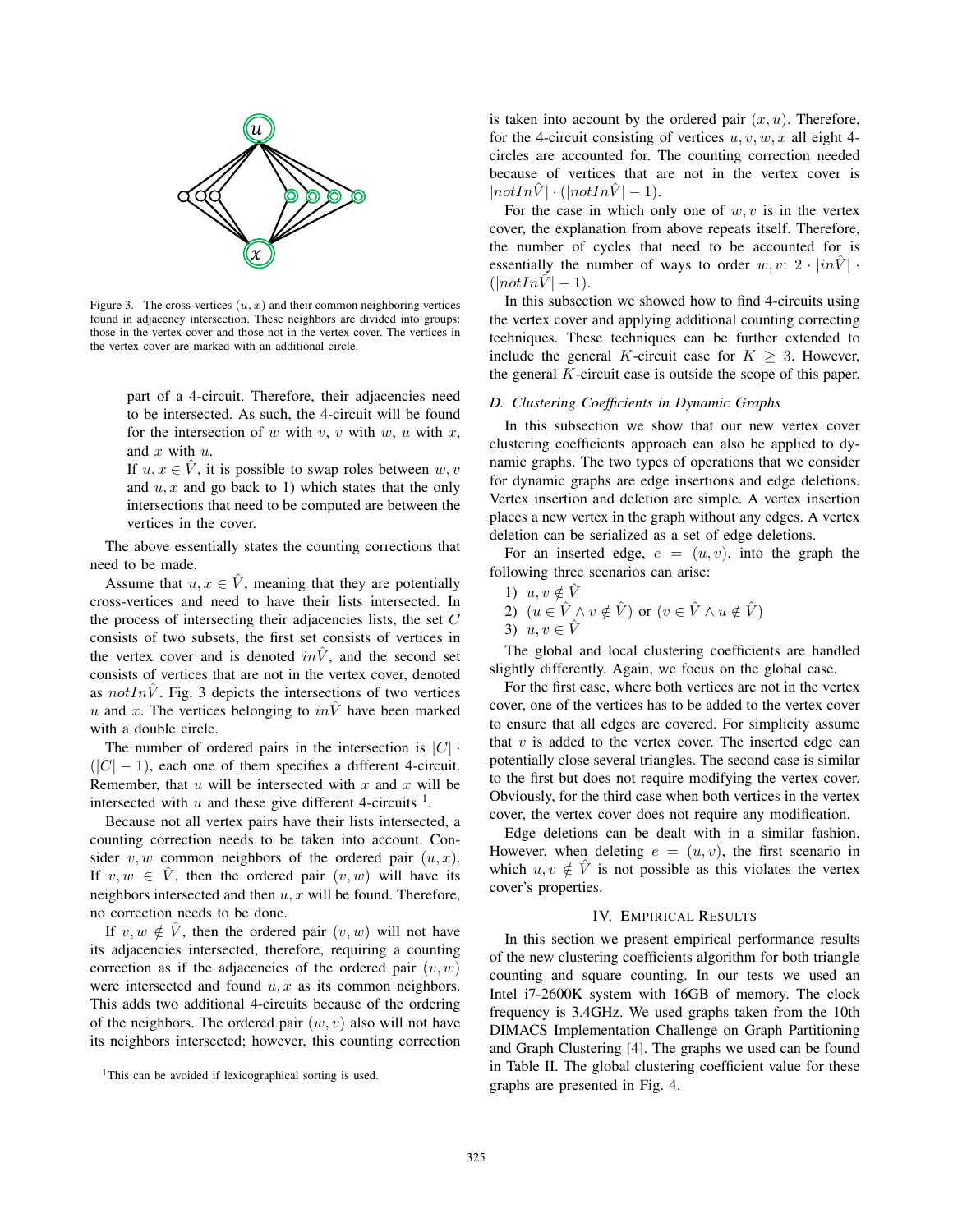

Figure 3. The cross-vertices  $(u, x)$  and their common neighboring vertices found in adjacency intersection. These neighbors are divided into groups: those in the vertex cover and those not in the vertex cover. The vertices in the vertex cover are marked with an additional circle.

part of a 4-circuit. Therefore, their adjacencies need to be intersected. As such, the 4-circuit will be found for the intersection of w with v, v with w, u with x, and  $x$  with  $u$ .

If  $u, x \in V$ , it is possible to swap roles between  $w, v$ and  $u, x$  and go back to 1) which states that the only intersections that need to be computed are between the vertices in the cover.

The above essentially states the counting corrections that need to be made.

Assume that  $u, x \in \hat{V}$ , meaning that they are potentially cross-vertices and need to have their lists intersected. In the process of intersecting their adjacencies lists, the set  $C$ consists of two subsets, the first set consists of vertices in the vertex cover and is denoted  $in\overline{V}$ , and the second set consists of vertices that are not in the vertex cover, denoted as  $notIn\ddot{V}$ . Fig. 3 depicts the intersections of two vertices u and x. The vertices belonging to  $in\hat{V}$  have been marked with a double circle.

The number of ordered pairs in the intersection is  $|C|$ .  $(|C| - 1)$ , each one of them specifies a different 4-circuit. Remember, that  $u$  will be intersected with  $x$  and  $x$  will be intersected with u and these give different 4-circuits  $<sup>1</sup>$ .</sup>

Because not all vertex pairs have their lists intersected, a counting correction needs to be taken into account. Consider v, w common neighbors of the ordered pair  $(u, x)$ . If  $v, w \in \hat{V}$ , then the ordered pair  $(v, w)$  will have its neighbors intersected and then  $u, x$  will be found. Therefore, no correction needs to be done.

If  $v, w \notin \hat{V}$ , then the ordered pair  $(v, w)$  will not have its adjacencies intersected, therefore, requiring a counting correction as if the adjacencies of the ordered pair  $(v, w)$ were intersected and found  $u, x$  as its common neighbors. This adds two additional 4-circuits because of the ordering of the neighbors. The ordered pair  $(w, v)$  also will not have its neighbors intersected; however, this counting correction

is taken into account by the ordered pair  $(x, u)$ . Therefore, for the 4-circuit consisting of vertices  $u, v, w, x$  all eight 4circles are accounted for. The counting correction needed because of vertices that are not in the vertex cover is  $|notInV| \cdot (|notInV| - 1).$ 

For the case in which only one of  $w, v$  is in the vertex cover, the explanation from above repeats itself. Therefore, the number of cycles that need to be accounted for is essentially the number of ways to order  $w, v: 2 \cdot |in \hat{V}|$ .  $(|notInV|-1).$ 

In this subsection we showed how to find 4-circuits using the vertex cover and applying additional counting correcting techniques. These techniques can be further extended to include the general K-circuit case for  $K \geq 3$ . However, the general  $K$ -circuit case is outside the scope of this paper.

## *D. Clustering Coefficients in Dynamic Graphs*

In this subsection we show that our new vertex cover clustering coefficients approach can also be applied to dynamic graphs. The two types of operations that we consider for dynamic graphs are edge insertions and edge deletions. Vertex insertion and deletion are simple. A vertex insertion places a new vertex in the graph without any edges. A vertex deletion can be serialized as a set of edge deletions.

For an inserted edge,  $e = (u, v)$ , into the graph the following three scenarios can arise:

1)  $u, v \notin \hat{V}$ 2)  $(u \in V \wedge v \notin \hat{V})$  or  $(v \in \hat{V} \wedge u \notin \hat{V})$ 3)  $u, v \in \hat{V}$ 

The global and local clustering coefficients are handled slightly differently. Again, we focus on the global case.

For the first case, where both vertices are not in the vertex cover, one of the vertices has to be added to the vertex cover to ensure that all edges are covered. For simplicity assume that  $v$  is added to the vertex cover. The inserted edge can potentially close several triangles. The second case is similar to the first but does not require modifying the vertex cover. Obviously, for the third case when both vertices in the vertex cover, the vertex cover does not require any modification.

Edge deletions can be dealt with in a similar fashion. However, when deleting  $e = (u, v)$ , the first scenario in which  $u, v \notin V$  is not possible as this violates the vertex cover's properties.

## IV. EMPIRICAL RESULTS

In this section we present empirical performance results of the new clustering coefficients algorithm for both triangle counting and square counting. In our tests we used an Intel i7-2600K system with 16GB of memory. The clock frequency is 3.4GHz. We used graphs taken from the 10th DIMACS Implementation Challenge on Graph Partitioning and Graph Clustering [4]. The graphs we used can be found in Table II. The global clustering coefficient value for these graphs are presented in Fig. 4.

<sup>&</sup>lt;sup>1</sup>This can be avoided if lexicographical sorting is used.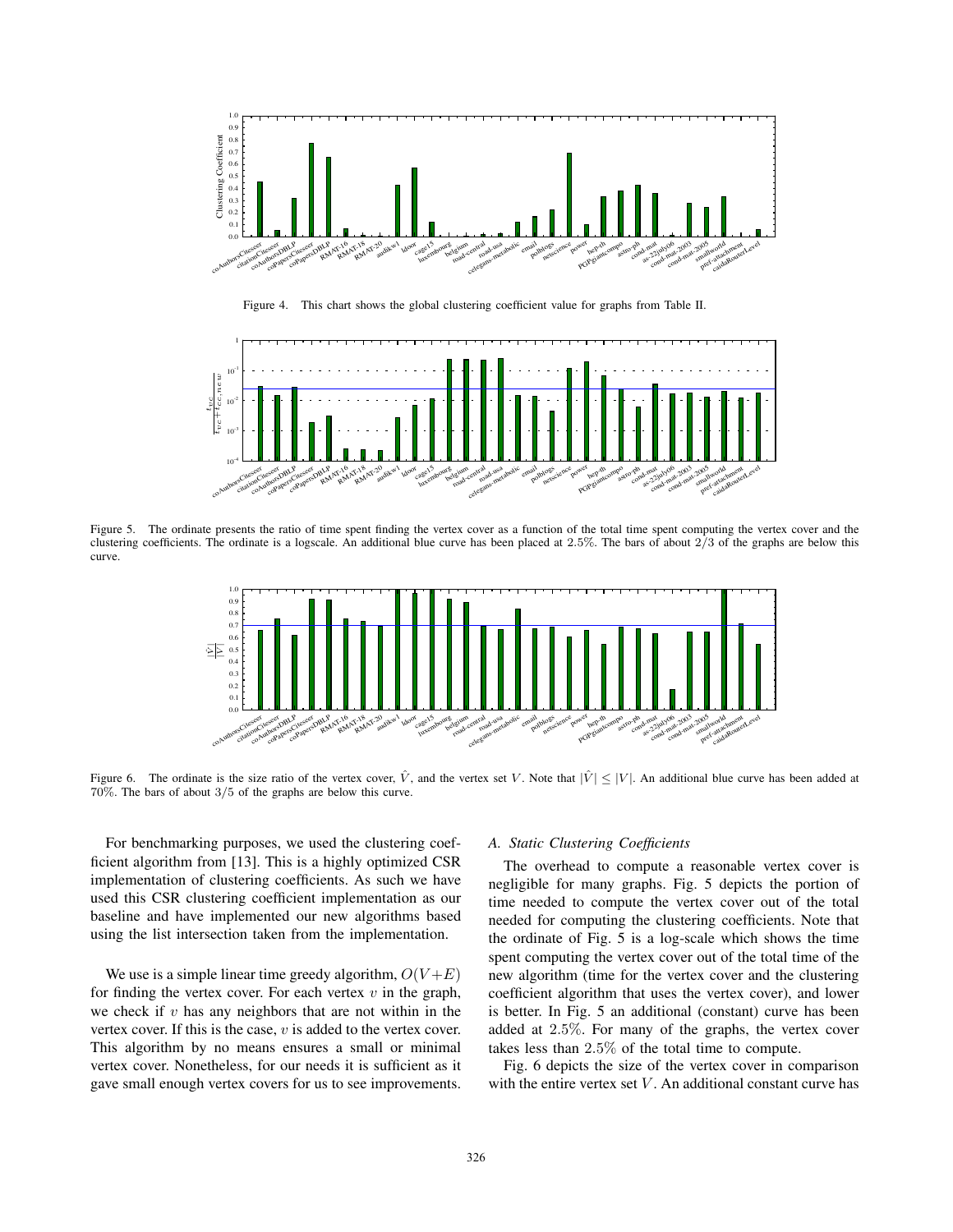

Figure 4. This chart shows the global clustering coefficient value for graphs from Table II.



Figure 5. The ordinate presents the ratio of time spent finding the vertex cover as a function of the total time spent computing the vertex cover and the clustering coefficients. The ordinate is a logscale. An additional blue curve has been placed at 2.5%. The bars of about 2/3 of the graphs are below this curve.



Figure 6. The ordinate is the size ratio of the vertex cover,  $\hat{V}$ , and the vertex set V. Note that  $|\hat{V}| \leq |V|$ . An additional blue curve has been added at 70%. The bars of about 3/5 of the graphs are below this curve.

For benchmarking purposes, we used the clustering coefficient algorithm from [13]. This is a highly optimized CSR implementation of clustering coefficients. As such we have used this CSR clustering coefficient implementation as our baseline and have implemented our new algorithms based using the list intersection taken from the implementation.

We use is a simple linear time greedy algorithm,  $O(V + E)$ for finding the vertex cover. For each vertex  $v$  in the graph, we check if  $v$  has any neighbors that are not within in the vertex cover. If this is the case,  $v$  is added to the vertex cover. This algorithm by no means ensures a small or minimal vertex cover. Nonetheless, for our needs it is sufficient as it gave small enough vertex covers for us to see improvements.

# *A. Static Clustering Coefficients*

The overhead to compute a reasonable vertex cover is negligible for many graphs. Fig. 5 depicts the portion of time needed to compute the vertex cover out of the total needed for computing the clustering coefficients. Note that the ordinate of Fig. 5 is a log-scale which shows the time spent computing the vertex cover out of the total time of the new algorithm (time for the vertex cover and the clustering coefficient algorithm that uses the vertex cover), and lower is better. In Fig. 5 an additional (constant) curve has been added at 2.5%. For many of the graphs, the vertex cover takes less than 2.5% of the total time to compute.

Fig. 6 depicts the size of the vertex cover in comparison with the entire vertex set  $V$ . An additional constant curve has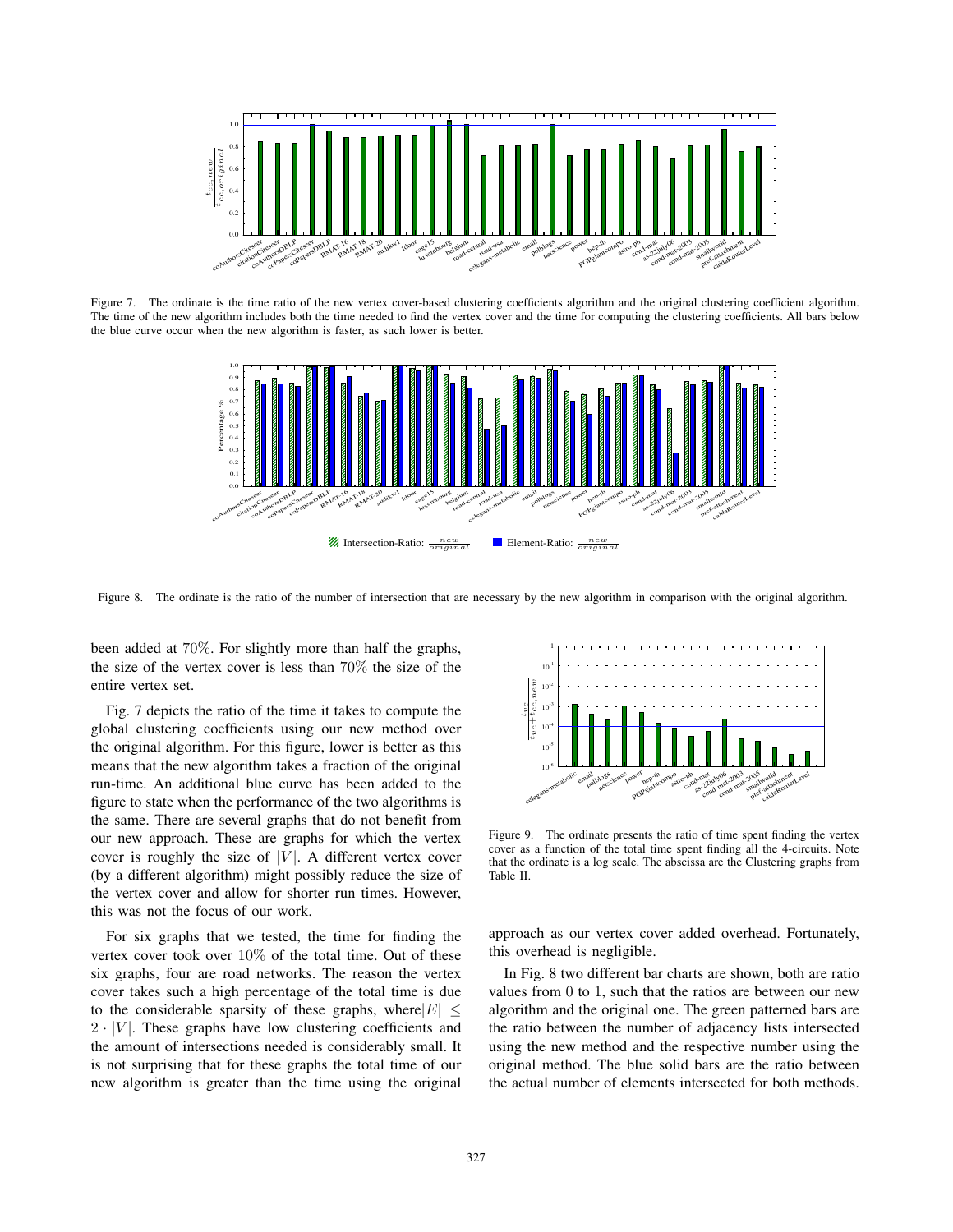

Figure 7. The ordinate is the time ratio of the new vertex cover-based clustering coefficients algorithm and the original clustering coefficient algorithm. The time of the new algorithm includes both the time needed to find the vertex cover and the time for computing the clustering coefficients. All bars below the blue curve occur when the new algorithm is faster, as such lower is better.



Figure 8. The ordinate is the ratio of the number of intersection that are necessary by the new algorithm in comparison with the original algorithm.

been added at 70%. For slightly more than half the graphs, the size of the vertex cover is less than 70% the size of the entire vertex set.

Fig. 7 depicts the ratio of the time it takes to compute the global clustering coefficients using our new method over the original algorithm. For this figure, lower is better as this means that the new algorithm takes a fraction of the original run-time. An additional blue curve has been added to the figure to state when the performance of the two algorithms is the same. There are several graphs that do not benefit from our new approach. These are graphs for which the vertex cover is roughly the size of  $|V|$ . A different vertex cover (by a different algorithm) might possibly reduce the size of the vertex cover and allow for shorter run times. However, this was not the focus of our work.

For six graphs that we tested, the time for finding the vertex cover took over  $10\%$  of the total time. Out of these six graphs, four are road networks. The reason the vertex cover takes such a high percentage of the total time is due to the considerable sparsity of these graphs, where  $|E| \le$  $2 \cdot |V|$ . These graphs have low clustering coefficients and the amount of intersections needed is considerably small. It is not surprising that for these graphs the total time of our new algorithm is greater than the time using the original



Figure 9. The ordinate presents the ratio of time spent finding the vertex cover as a function of the total time spent finding all the 4-circuits. Note that the ordinate is a log scale. The abscissa are the Clustering graphs from Table II.

approach as our vertex cover added overhead. Fortunately, this overhead is negligible.

In Fig. 8 two different bar charts are shown, both are ratio values from 0 to 1, such that the ratios are between our new algorithm and the original one. The green patterned bars are the ratio between the number of adjacency lists intersected using the new method and the respective number using the original method. The blue solid bars are the ratio between the actual number of elements intersected for both methods.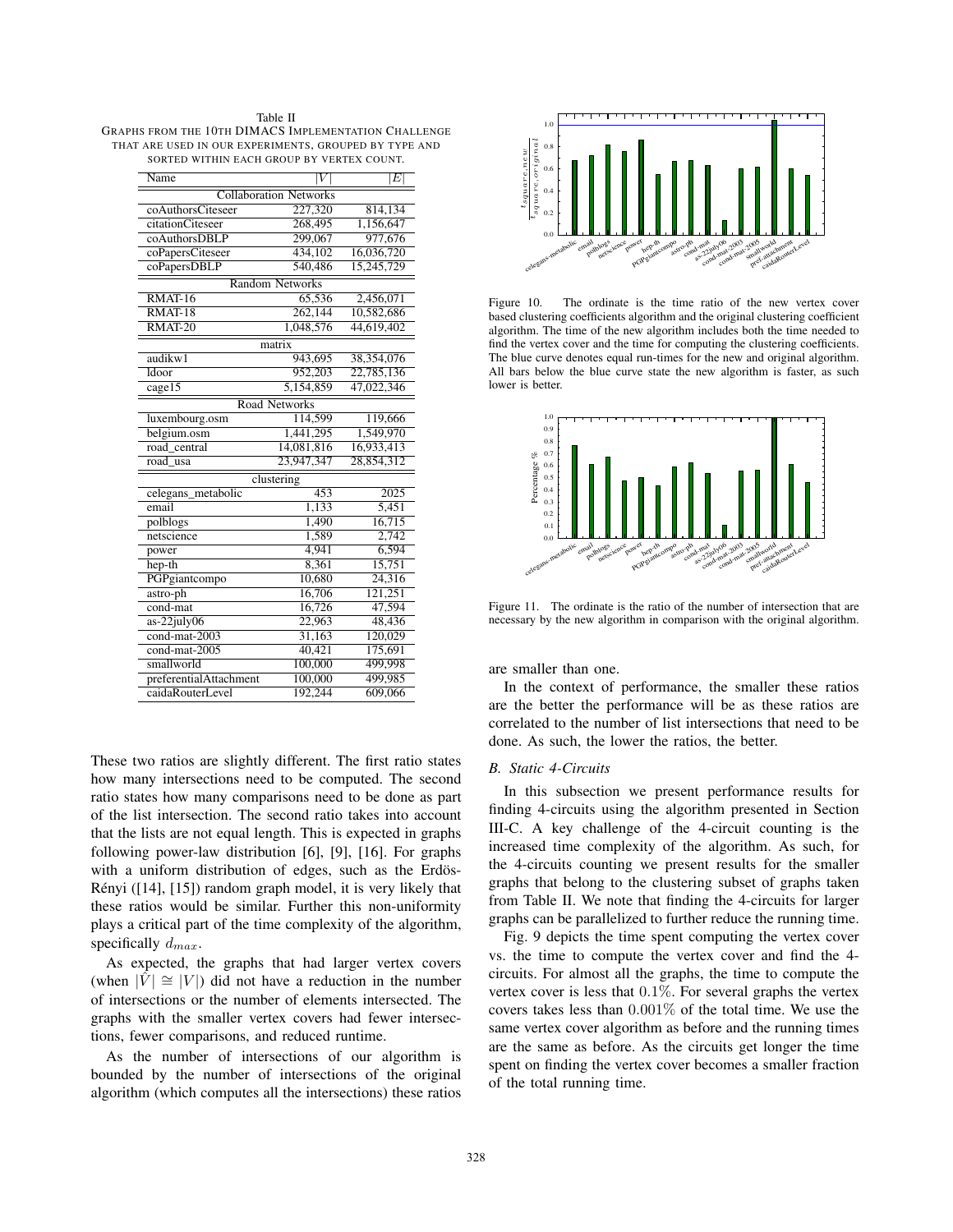| Table II                                              |
|-------------------------------------------------------|
| GRAPHS FROM THE 10TH DIMACS IMPLEMENTATION CHALLENGE  |
| THAT ARE USED IN OUR EXPERIMENTS, GROUPED BY TYPE AND |
| SORTED WITHIN EACH GROUP BY VERTEX COUNT.             |

| Name                          |            | $\left E\right $ |  |  |  |
|-------------------------------|------------|------------------|--|--|--|
| <b>Collaboration Networks</b> |            |                  |  |  |  |
| coAuthorsCiteseer             | 227,320    | 814,134          |  |  |  |
| citationCiteseer              | 268,495    | 1,156,647        |  |  |  |
| coAuthorsDBLP                 | 299,067    | 977,676          |  |  |  |
| coPapersCiteseer              | 434,102    | 16,036,720       |  |  |  |
| coPapersDBLP                  | 540,486    | 15,245,729       |  |  |  |
| <b>Random Networks</b>        |            |                  |  |  |  |
| RMAT-16                       | 65,536     | 2,456,071        |  |  |  |
| $\overline{\text{RMAT-18}}$   | 262,144    | 10,582,686       |  |  |  |
| $RMAT-20$                     | 1,048,576  | 44,619,402       |  |  |  |
| matrix                        |            |                  |  |  |  |
| audikw1                       | 943,695    | 38,354,076       |  |  |  |
| Idoor                         | 952,203    | 22,785,136       |  |  |  |
| cage15                        | 5,154,859  | 47,022,346       |  |  |  |
| <b>Road Networks</b>          |            |                  |  |  |  |
| luxembourg.osm                | 114,599    | 119,666          |  |  |  |
| belgium.osm                   | 1,441,295  | 1,549,970        |  |  |  |
| road central                  | 14,081,816 | 16,933,413       |  |  |  |
| road<br>usa                   | 23,947,347 | 28,854,312       |  |  |  |
| clustering                    |            |                  |  |  |  |
| celegans metabolic            | 453        | 2025             |  |  |  |
| email                         | 1,133      | 5,451            |  |  |  |
| polblogs                      | 1,490      | 16.715           |  |  |  |
| netscience                    | 1,589      | 2.742            |  |  |  |
| power                         | 4,941      | 6,594            |  |  |  |
| hep-th                        | 8.361      | 15.751           |  |  |  |
| PGPgiantcompo                 | 10,680     | 24,316           |  |  |  |
| astro-ph                      | 16,706     | 121,251          |  |  |  |
| $\overline{\text{cond-mat}}$  | 16,726     | 47,594           |  |  |  |
| $as-22july06$                 | 22,963     | 48,436           |  |  |  |
| cond-mat-2003                 | 31,163     | 120,029          |  |  |  |
| cond-mat-2005                 | 40,421     | 175,691          |  |  |  |
| smallworld                    | 100,000    | 499,998          |  |  |  |
| preferentialAttachment        | 100,000    | 499,985          |  |  |  |
| caidaRouterLevel              | 192,244    | 609,066          |  |  |  |

These two ratios are slightly different. The first ratio states how many intersections need to be computed. The second ratio states how many comparisons need to be done as part of the list intersection. The second ratio takes into account that the lists are not equal length. This is expected in graphs following power-law distribution [6], [9], [16]. For graphs with a uniform distribution of edges, such as the Erdös-Rényi ([14], [15]) random graph model, it is very likely that these ratios would be similar. Further this non-uniformity plays a critical part of the time complexity of the algorithm, specifically <sup>d</sup>*max*.

As expected, the graphs that had larger vertex covers (when  $|V| \cong |V|$ ) did not have a reduction in the number of intersections or the number of elements intersected. The graphs with the smaller vertex covers had fewer intersections, fewer comparisons, and reduced runtime.

As the number of intersections of our algorithm is bounded by the number of intersections of the original algorithm (which computes all the intersections) these ratios



Figure 10. The ordinate is the time ratio of the new vertex cover based clustering coefficients algorithm and the original clustering coefficient algorithm. The time of the new algorithm includes both the time needed to find the vertex cover and the time for computing the clustering coefficients. The blue curve denotes equal run-times for the new and original algorithm. All bars below the blue curve state the new algorithm is faster, as such lower is better.



Figure 11. The ordinate is the ratio of the number of intersection that are necessary by the new algorithm in comparison with the original algorithm.

are smaller than one.

In the context of performance, the smaller these ratios are the better the performance will be as these ratios are correlated to the number of list intersections that need to be done. As such, the lower the ratios, the better.

# *B. Static 4-Circuits*

In this subsection we present performance results for finding 4-circuits using the algorithm presented in Section III-C. A key challenge of the 4-circuit counting is the increased time complexity of the algorithm. As such, for the 4-circuits counting we present results for the smaller graphs that belong to the clustering subset of graphs taken from Table II. We note that finding the 4-circuits for larger graphs can be parallelized to further reduce the running time.

Fig. 9 depicts the time spent computing the vertex cover vs. the time to compute the vertex cover and find the 4 circuits. For almost all the graphs, the time to compute the vertex cover is less that  $0.1\%$ . For several graphs the vertex covers takes less than 0.001% of the total time. We use the same vertex cover algorithm as before and the running times are the same as before. As the circuits get longer the time spent on finding the vertex cover becomes a smaller fraction of the total running time.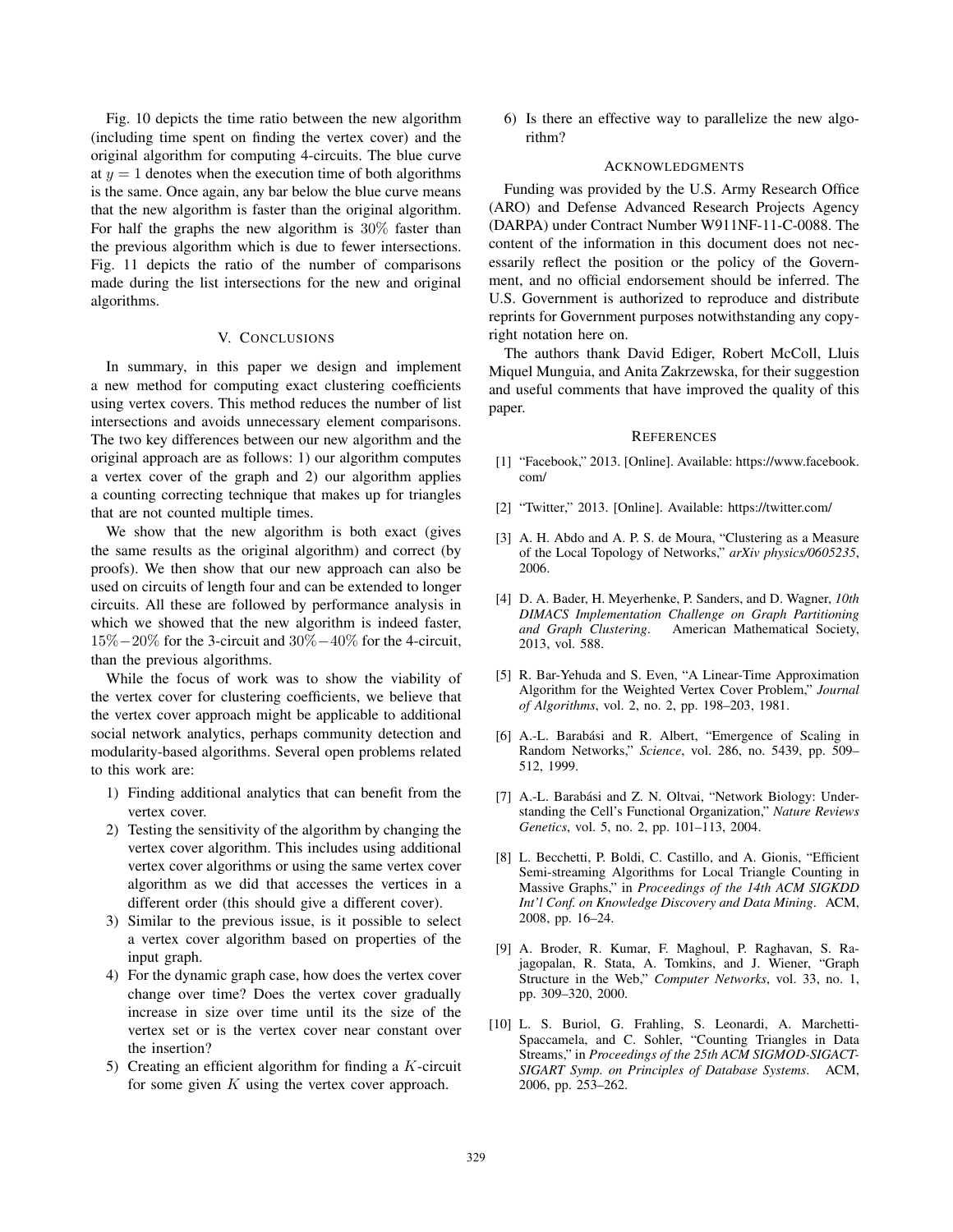Fig. 10 depicts the time ratio between the new algorithm (including time spent on finding the vertex cover) and the original algorithm for computing 4-circuits. The blue curve at  $y = 1$  denotes when the execution time of both algorithms is the same. Once again, any bar below the blue curve means that the new algorithm is faster than the original algorithm. For half the graphs the new algorithm is 30% faster than the previous algorithm which is due to fewer intersections. Fig. 11 depicts the ratio of the number of comparisons made during the list intersections for the new and original algorithms.

# V. CONCLUSIONS

In summary, in this paper we design and implement a new method for computing exact clustering coefficients using vertex covers. This method reduces the number of list intersections and avoids unnecessary element comparisons. The two key differences between our new algorithm and the original approach are as follows: 1) our algorithm computes a vertex cover of the graph and 2) our algorithm applies a counting correcting technique that makes up for triangles that are not counted multiple times.

We show that the new algorithm is both exact (gives the same results as the original algorithm) and correct (by proofs). We then show that our new approach can also be used on circuits of length four and can be extended to longer circuits. All these are followed by performance analysis in which we showed that the new algorithm is indeed faster, 15%−20% for the 3-circuit and 30%−40% for the 4-circuit, than the previous algorithms.

While the focus of work was to show the viability of the vertex cover for clustering coefficients, we believe that the vertex cover approach might be applicable to additional social network analytics, perhaps community detection and modularity-based algorithms. Several open problems related to this work are:

- 1) Finding additional analytics that can benefit from the vertex cover.
- 2) Testing the sensitivity of the algorithm by changing the vertex cover algorithm. This includes using additional vertex cover algorithms or using the same vertex cover algorithm as we did that accesses the vertices in a different order (this should give a different cover).
- 3) Similar to the previous issue, is it possible to select a vertex cover algorithm based on properties of the input graph.
- 4) For the dynamic graph case, how does the vertex cover change over time? Does the vertex cover gradually increase in size over time until its the size of the vertex set or is the vertex cover near constant over the insertion?
- 5) Creating an efficient algorithm for finding a  $K$ -circuit for some given  $K$  using the vertex cover approach.

6) Is there an effective way to parallelize the new algorithm?

#### **ACKNOWLEDGMENTS**

Funding was provided by the U.S. Army Research Office (ARO) and Defense Advanced Research Projects Agency (DARPA) under Contract Number W911NF-11-C-0088. The content of the information in this document does not necessarily reflect the position or the policy of the Government, and no official endorsement should be inferred. The U.S. Government is authorized to reproduce and distribute reprints for Government purposes notwithstanding any copyright notation here on.

The authors thank David Ediger, Robert McColl, Lluis Miquel Munguia, and Anita Zakrzewska, for their suggestion and useful comments that have improved the quality of this paper.

#### **REFERENCES**

- [1] "Facebook," 2013. [Online]. Available: https://www.facebook. com/
- [2] "Twitter," 2013. [Online]. Available: https://twitter.com/
- [3] A. H. Abdo and A. P. S. de Moura, "Clustering as a Measure of the Local Topology of Networks," *arXiv physics/0605235*, 2006.
- [4] D. A. Bader, H. Meyerhenke, P. Sanders, and D. Wagner, *10th DIMACS Implementation Challenge on Graph Partitioning and Graph Clustering*. American Mathematical Society, 2013, vol. 588.
- [5] R. Bar-Yehuda and S. Even, "A Linear-Time Approximation Algorithm for the Weighted Vertex Cover Problem," *Journal of Algorithms*, vol. 2, no. 2, pp. 198–203, 1981.
- [6] A.-L. Barabási and R. Albert, "Emergence of Scaling in Random Networks," *Science*, vol. 286, no. 5439, pp. 509– 512, 1999.
- [7] A.-L. Barabási and Z. N. Oltvai, "Network Biology: Understanding the Cell's Functional Organization," *Nature Reviews Genetics*, vol. 5, no. 2, pp. 101–113, 2004.
- [8] L. Becchetti, P. Boldi, C. Castillo, and A. Gionis, "Efficient Semi-streaming Algorithms for Local Triangle Counting in Massive Graphs," in *Proceedings of the 14th ACM SIGKDD Int'l Conf. on Knowledge Discovery and Data Mining*. ACM, 2008, pp. 16–24.
- [9] A. Broder, R. Kumar, F. Maghoul, P. Raghavan, S. Rajagopalan, R. Stata, A. Tomkins, and J. Wiener, "Graph Structure in the Web," *Computer Networks*, vol. 33, no. 1, pp. 309–320, 2000.
- [10] L. S. Buriol, G. Frahling, S. Leonardi, A. Marchetti-Spaccamela, and C. Sohler, "Counting Triangles in Data Streams," in *Proceedings of the 25th ACM SIGMOD-SIGACT-SIGART Symp. on Principles of Database Systems*. ACM, 2006, pp. 253–262.